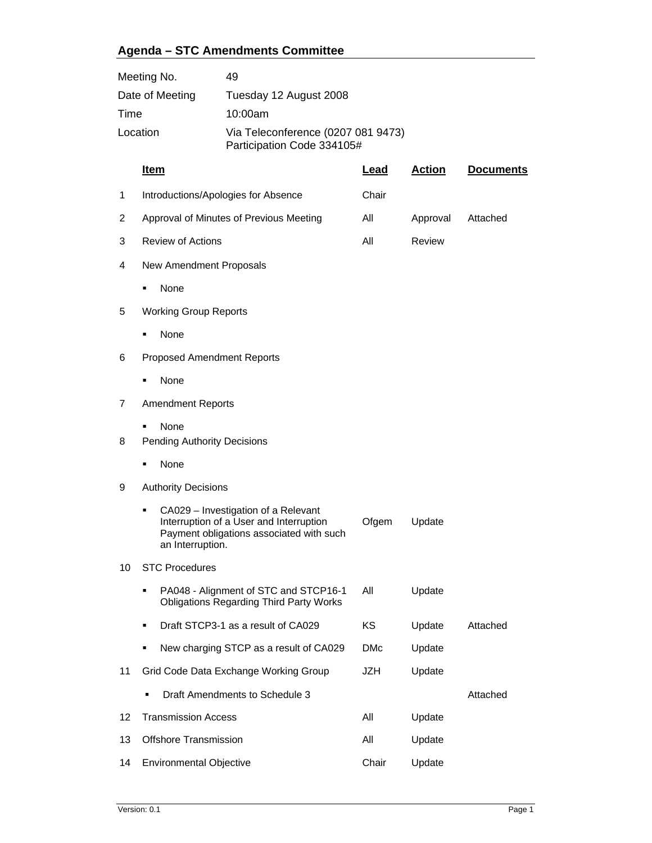## **Agenda – STC Amendments Committee**

| Meeting No.     |                                            | 49                                                                                                                         |            |               |                  |  |  |
|-----------------|--------------------------------------------|----------------------------------------------------------------------------------------------------------------------------|------------|---------------|------------------|--|--|
| Date of Meeting |                                            | Tuesday 12 August 2008                                                                                                     |            |               |                  |  |  |
| Time            |                                            | 10:00am                                                                                                                    |            |               |                  |  |  |
| Location        |                                            | Via Teleconference (0207 081 9473)<br>Participation Code 334105#                                                           |            |               |                  |  |  |
|                 | <u>Item</u>                                |                                                                                                                            | Lead       | <b>Action</b> | <b>Documents</b> |  |  |
| 1               | Introductions/Apologies for Absence        |                                                                                                                            | Chair      |               |                  |  |  |
| 2               | Approval of Minutes of Previous Meeting    |                                                                                                                            | All        | Approval      | Attached         |  |  |
| 3               | <b>Review of Actions</b>                   |                                                                                                                            | All        | Review        |                  |  |  |
| 4               | New Amendment Proposals                    |                                                                                                                            |            |               |                  |  |  |
|                 | None                                       |                                                                                                                            |            |               |                  |  |  |
| 5               | <b>Working Group Reports</b>               |                                                                                                                            |            |               |                  |  |  |
|                 | None                                       |                                                                                                                            |            |               |                  |  |  |
| 6               | <b>Proposed Amendment Reports</b>          |                                                                                                                            |            |               |                  |  |  |
|                 | None                                       |                                                                                                                            |            |               |                  |  |  |
| 7               | <b>Amendment Reports</b>                   |                                                                                                                            |            |               |                  |  |  |
| 8               | None<br><b>Pending Authority Decisions</b> |                                                                                                                            |            |               |                  |  |  |
|                 | None                                       |                                                                                                                            |            |               |                  |  |  |
| 9               | <b>Authority Decisions</b>                 |                                                                                                                            |            |               |                  |  |  |
|                 | п<br>an Interruption.                      | CA029 - Investigation of a Relevant<br>Interruption of a User and Interruption<br>Payment obligations associated with such | Ofgem      | Update        |                  |  |  |
| 10              | <b>STC Procedures</b>                      |                                                                                                                            |            |               |                  |  |  |
|                 | ٠                                          | PA048 - Alignment of STC and STCP16-1<br><b>Obligations Regarding Third Party Works</b>                                    | All        | Update        |                  |  |  |
|                 | ٠                                          | Draft STCP3-1 as a result of CA029                                                                                         | ΚS         | Update        | Attached         |  |  |
|                 |                                            | New charging STCP as a result of CA029                                                                                     | <b>DMc</b> | Update        |                  |  |  |
| 11              | Grid Code Data Exchange Working Group      |                                                                                                                            | JZH        | Update        |                  |  |  |
|                 |                                            | Draft Amendments to Schedule 3                                                                                             |            |               | Attached         |  |  |
| 12              | <b>Transmission Access</b>                 |                                                                                                                            | All        | Update        |                  |  |  |
| 13              | Offshore Transmission                      |                                                                                                                            |            | Update        |                  |  |  |
| 14              | Environmental Objective                    | Chair                                                                                                                      | Update     |               |                  |  |  |